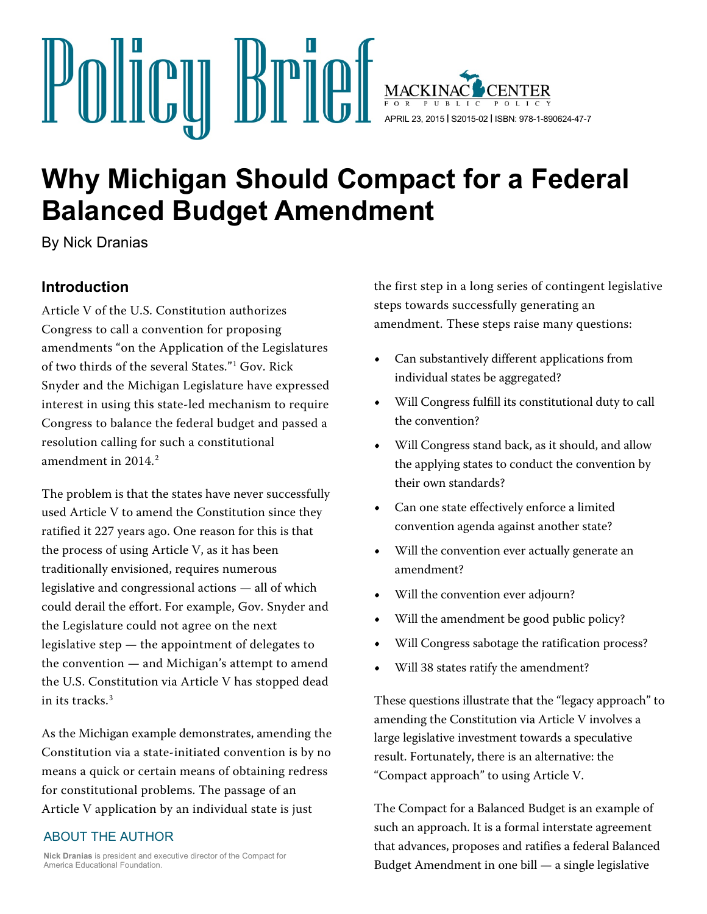

# **Why Michigan Should Compact for a Federal Balanced Budget Amendment**

By Nick Dranias

## **Introduction**

Article V of the U.S. Constitution authorizes Congress to call a convention for proposing amendments "on the Application of the Legislatures of two thirds of the several States."[1](#page-11-0) Gov. Rick Snyder and the Michigan Legislature have expressed interest in using this state-led mechanism to require Congress to balance the federal budget and passed a resolution calling for such a constitutional amendment in 2014. [2](#page-11-1)

The problem is that the states have never successfully used Article V to amend the Constitution since they ratified it 227 years ago. One reason for this is that the process of using Article V, as it has been traditionally envisioned, requires numerous legislative and congressional actions — all of which could derail the effort. For example, Gov. Snyder and the Legislature could not agree on the next legislative step — the appointment of delegates to the convention — and Michigan's attempt to amend the U.S. Constitution via Article V has stopped dead in its tracks.[3](#page-11-2)

As the Michigan example demonstrates, amending the Constitution via a state-initiated convention is by no means a quick or certain means of obtaining redress for constitutional problems. The passage of an Article V application by an individual state is just

#### ABOUT THE AUTHOR

**Nick Dranias** is president and executive director of the Compact for America Educational Foundation.

the first step in a long series of contingent legislative steps towards successfully generating an amendment. These steps raise many questions:

- **•** Can substantively different applications from individual states be aggregated?
- **•** Will Congress fulfill its constitutional duty to call the convention?
- **•** Will Congress stand back, as it should, and allow the applying states to conduct the convention by their own standards?
- **•** Can one state effectively enforce a limited convention agenda against another state?
- **•** Will the convention ever actually generate an amendment?
- **•** Will the convention ever adjourn?
- **•** Will the amendment be good public policy?
- **•** Will Congress sabotage the ratification process?
- **•** Will 38 states ratify the amendment?

These questions illustrate that the "legacy approach" to amending the Constitution via Article V involves a large legislative investment towards a speculative result. Fortunately, there is an alternative: the "Compact approach" to using Article V.

The Compact for a Balanced Budget is an example of such an approach. It is a formal interstate agreement that advances, proposes and ratifies a federal Balanced Budget Amendment in one bill — a single legislative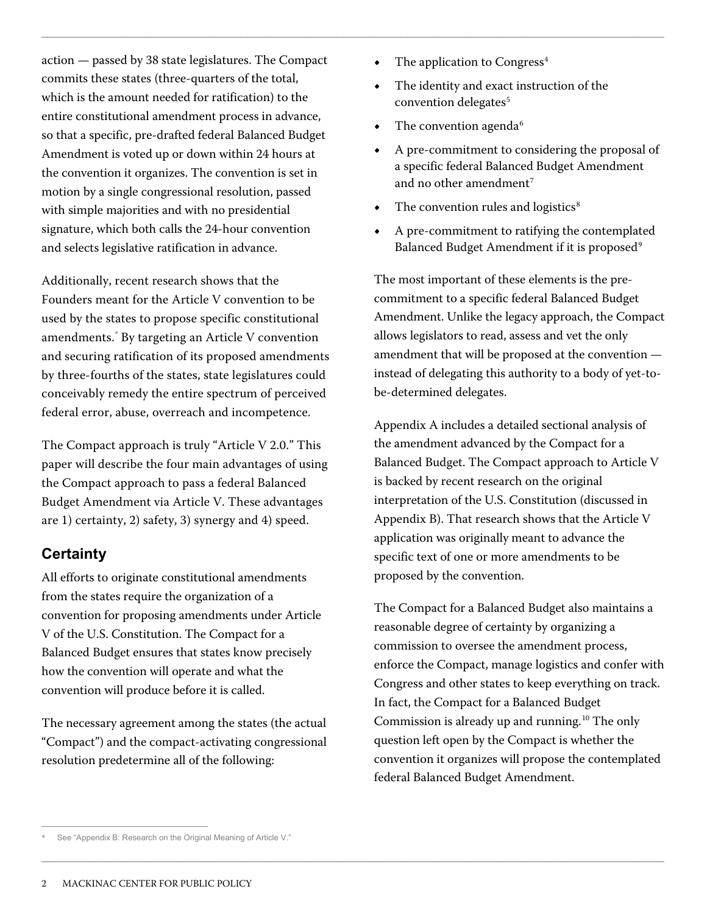action — passed by 38 state legislatures. The Compact commits these states (three-quarters of the total, which is the amount needed for ratification) to the entire constitutional amendment process in advance, so that a specific, pre-drafted federal Balanced Budget Amendment is voted up or down within 24 hours at the convention it organizes. The convention is set in motion by a single congressional resolution, passed with simple majorities and with no presidential signature, which both calls the 24-hour convention and selects legislative ratification in advance.

Additionally, recent research shows that the Founders meant for the Article V convention to be used by the states to propose specific constitutional amendments.[\\*](#page-1-0) By targeting an Article V convention and securing ratification of its proposed amendments by three-fourths of the states, state legislatures could conceivably remedy the entire spectrum of perceived federal error, abuse, overreach and incompetence.

The Compact approach is truly "Article V 2.0." This paper will describe the four main advantages of using the Compact approach to pass a federal Balanced Budget Amendment via Article V. These advantages are 1) certainty, 2) safety, 3) synergy and 4) speed.

### **Certainty**

All efforts to originate constitutional amendments from the states require the organization of a convention for proposing amendments under Article V of the U.S. Constitution. The Compact for a Balanced Budget ensures that states know precisely how the convention will operate and what the convention will produce before it is called.

The necessary agreement among the states (the actual "Compact") and the compact-activating congressional resolution predetermine all of the following:

The application to Congress<sup>[4](#page-12-0)</sup>

 $\Box$ 

 $\Box$ 

- **•** The identity and exact instruction of the convention delegates<sup>[5](#page-12-1)</sup>
- The convention agenda<sup>[6](#page-12-2)</sup>
- **•** A pre-commitment to considering the proposal of a specific federal Balanced Budget Amendment and no other amendment<sup>[7](#page-12-3)</sup>
- The convention rules and logistics<sup>[8](#page-12-4)</sup>
- **•** A pre-commitment to ratifying the contemplated Balanced Budget Amendment if it is proposed<sup>[9](#page-12-5)</sup>

The most important of these elements is the precommitment to a specific federal Balanced Budget Amendment. Unlike the legacy approach, the Compact allows legislators to read, assess and vet the only amendment that will be proposed at the convention instead of delegating this authority to a body of yet-tobe-determined delegates.

Appendix A includes a detailed sectional analysis of the amendment advanced by the Compact for a Balanced Budget. The Compact approach to Article V is backed by recent research on the original interpretation of the U.S. Constitution (discussed in Appendix B). That research shows that the Article V application was originally meant to advance the specific text of one or more amendments to be proposed by the convention.

The Compact for a Balanced Budget also maintains a reasonable degree of certainty by organizing a commission to oversee the amendment process, enforce the Compact, manage logistics and confer with Congress and other states to keep everything on track. In fact, the Compact for a Balanced Budget Commission is already up and running. [10](#page-12-6) The only question left open by the Compact is whether the convention it organizes will propose the contemplated federal Balanced Budget Amendment.

<span id="page-1-0"></span> $\overline{a}$ See "Appendix B: Research on the Original Meaning of Article V."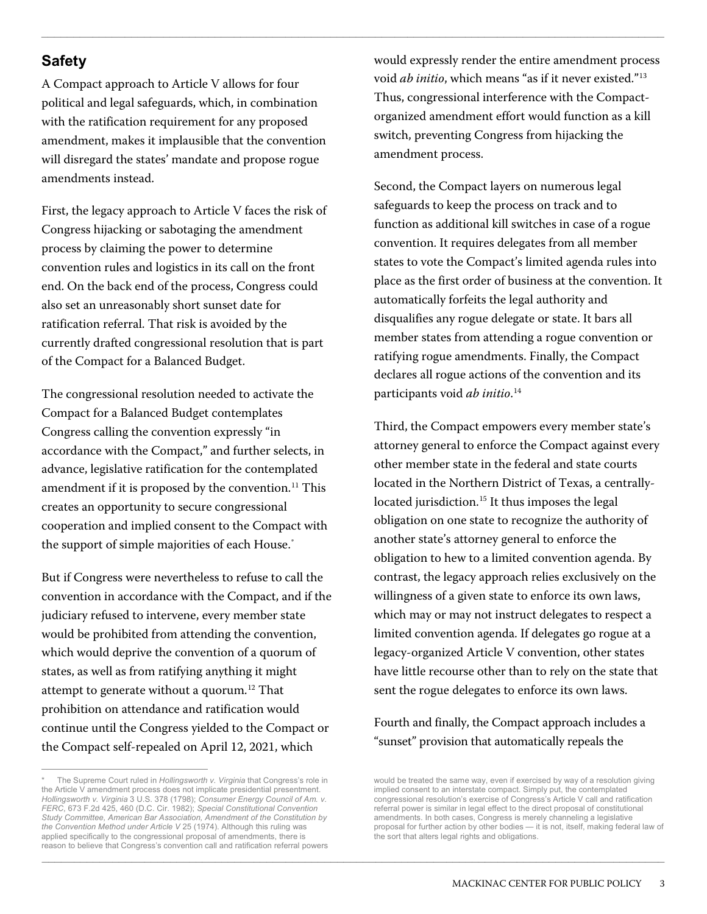## **Safety**

A Compact approach to Article V allows for four political and legal safeguards, which, in combination with the ratification requirement for any proposed amendment, makes it implausible that the convention will disregard the states' mandate and propose rogue amendments instead.

First, the legacy approach to Article V faces the risk of Congress hijacking or sabotaging the amendment process by claiming the power to determine convention rules and logistics in its call on the front end. On the back end of the process, Congress could also set an unreasonably short sunset date for ratification referral. That risk is avoided by the currently drafted congressional resolution that is part of the Compact for a Balanced Budget.

The congressional resolution needed to activate the Compact for a Balanced Budget contemplates Congress calling the convention expressly "in accordance with the Compact," and further selects, in advance, legislative ratification for the contemplated amendment if it is proposed by the convention.<sup>11</sup> This creates an opportunity to secure congressional cooperation and implied consent to the Compact with the support of simple majorities of each House.[\\*](#page-2-0)

But if Congress were nevertheless to refuse to call the convention in accordance with the Compact, and if the judiciary refused to intervene, every member state would be prohibited from attending the convention, which would deprive the convention of a quorum of states, as well as from ratifying anything it might attempt to generate without a quorum.<sup>[12](#page-13-1)</sup> That prohibition on attendance and ratification would continue until the Congress yielded to the Compact or the Compact self-repealed on April 12, 2021, which

would expressly render the entire amendment process void *ab initio*, which means "as if it never existed."[13](#page-13-2) Thus, congressional interference with the Compactorganized amendment effort would function as a kill switch, preventing Congress from hijacking the amendment process.

 $\Box$ 

 $\_$  ,  $\_$  ,  $\_$  ,  $\_$  ,  $\_$  ,  $\_$  ,  $\_$  ,  $\_$  ,  $\_$  ,  $\_$  ,  $\_$  ,  $\_$  ,  $\_$  ,  $\_$  ,  $\_$  ,  $\_$  ,  $\_$  ,  $\_$  ,  $\_$  ,  $\_$  ,  $\_$  ,  $\_$  ,  $\_$  ,  $\_$  ,  $\_$  ,  $\_$  ,  $\_$  ,  $\_$  ,  $\_$  ,  $\_$  ,  $\_$  ,  $\_$  ,  $\_$  ,  $\_$  ,  $\_$  ,  $\_$  ,  $\_$  ,

Second, the Compact layers on numerous legal safeguards to keep the process on track and to function as additional kill switches in case of a rogue convention. It requires delegates from all member states to vote the Compact's limited agenda rules into place as the first order of business at the convention. It automatically forfeits the legal authority and disqualifies any rogue delegate or state. It bars all member states from attending a rogue convention or ratifying rogue amendments. Finally, the Compact declares all rogue actions of the convention and its participants void *ab initio*. [14](#page-13-3)

Third, the Compact empowers every member state's attorney general to enforce the Compact against every other member state in the federal and state courts located in the Northern District of Texas, a centrally-located jurisdiction.<sup>[15](#page-13-4)</sup> It thus imposes the legal obligation on one state to recognize the authority of another state's attorney general to enforce the obligation to hew to a limited convention agenda. By contrast, the legacy approach relies exclusively on the willingness of a given state to enforce its own laws, which may or may not instruct delegates to respect a limited convention agenda. If delegates go rogue at a legacy-organized Article V convention, other states have little recourse other than to rely on the state that sent the rogue delegates to enforce its own laws.

#### Fourth and finally, the Compact approach includes a "sunset" provision that automatically repeals the

<span id="page-2-0"></span> $\overline{a}$ The Supreme Court ruled in *Hollingsworth v. Virginia* that Congress's role in the Article V amendment process does not implicate presidential presentment. *Hollingsworth v. Virginia* 3 U.S. 378 (1798); *Consumer Energy Council of Am. v. FERC*, 673 F.2d 425, 460 (D.C. Cir. 1982); *Special Constitutional Convention Study Committee, American Bar Association, Amendment of the Constitution by the Convention Method under Article V* 25 (1974). Although this ruling was applied specifically to the congressional proposal of amendments, there is reason to believe that Congress's convention call and ratification referral powers

would be treated the same way, even if exercised by way of a resolution giving implied consent to an interstate compact. Simply put, the contemplated congressional resolution's exercise of Congress's Article V call and ratification referral power is similar in legal effect to the direct proposal of constitutional amendments. In both cases, Congress is merely channeling a legislative proposal for further action by other bodies — it is not, itself, making federal law of the sort that alters legal rights and obligations.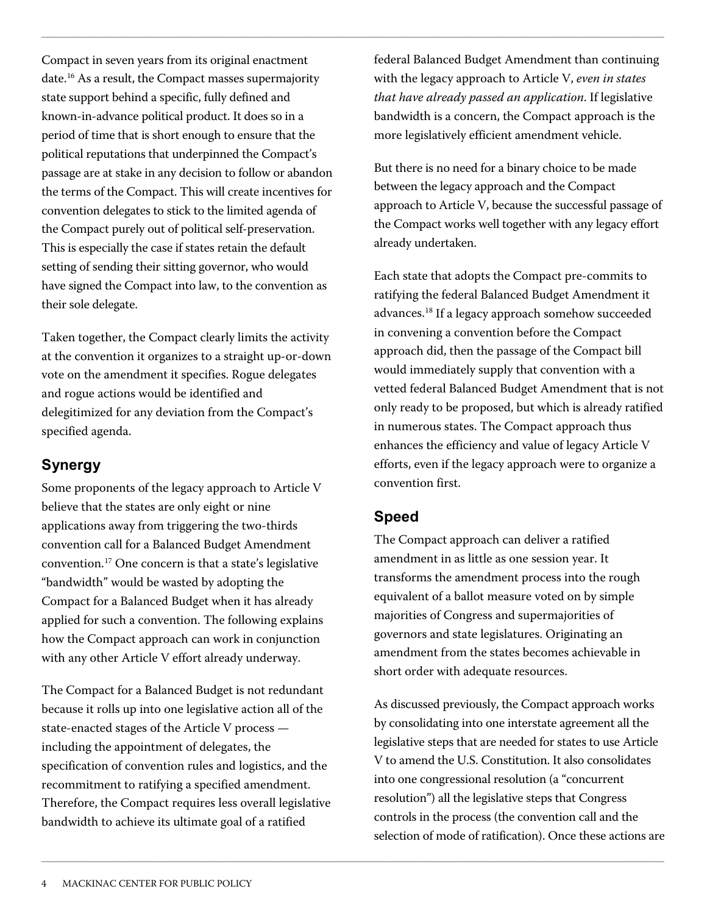Compact in seven years from its original enactment date.[16](#page-13-5) As a result, the Compact masses supermajority state support behind a specific, fully defined and known-in-advance political product. It does so in a period of time that is short enough to ensure that the political reputations that underpinned the Compact's passage are at stake in any decision to follow or abandon the terms of the Compact. This will create incentives for convention delegates to stick to the limited agenda of the Compact purely out of political self-preservation. This is especially the case if states retain the default setting of sending their sitting governor, who would have signed the Compact into law, to the convention as their sole delegate.

Taken together, the Compact clearly limits the activity at the convention it organizes to a straight up-or-down vote on the amendment it specifies. Rogue delegates and rogue actions would be identified and delegitimized for any deviation from the Compact's specified agenda.

### **Synergy**

Some proponents of the legacy approach to Article V believe that the states are only eight or nine applications away from triggering the two-thirds convention call for a Balanced Budget Amendment convention.[17](#page-13-6) One concern is that a state's legislative "bandwidth" would be wasted by adopting the Compact for a Balanced Budget when it has already applied for such a convention. The following explains how the Compact approach can work in conjunction with any other Article V effort already underway.

The Compact for a Balanced Budget is not redundant because it rolls up into one legislative action all of the state-enacted stages of the Article V process including the appointment of delegates, the specification of convention rules and logistics, and the recommitment to ratifying a specified amendment. Therefore, the Compact requires less overall legislative bandwidth to achieve its ultimate goal of a ratified

federal Balanced Budget Amendment than continuing with the legacy approach to Article V, *even in states that have already passed an application*. If legislative bandwidth is a concern, the Compact approach is the more legislatively efficient amendment vehicle.

But there is no need for a binary choice to be made between the legacy approach and the Compact approach to Article V, because the successful passage of the Compact works well together with any legacy effort already undertaken.

Each state that adopts the Compact pre-commits to ratifying the federal Balanced Budget Amendment it advances[.18](#page-13-7) If a legacy approach somehow succeeded in convening a convention before the Compact approach did, then the passage of the Compact bill would immediately supply that convention with a vetted federal Balanced Budget Amendment that is not only ready to be proposed, but which is already ratified in numerous states. The Compact approach thus enhances the efficiency and value of legacy Article V efforts, even if the legacy approach were to organize a convention first.

### **Speed**

 $\Box$ 

 $\Box$ 

The Compact approach can deliver a ratified amendment in as little as one session year. It transforms the amendment process into the rough equivalent of a ballot measure voted on by simple majorities of Congress and supermajorities of governors and state legislatures. Originating an amendment from the states becomes achievable in short order with adequate resources.

As discussed previously, the Compact approach works by consolidating into one interstate agreement all the legislative steps that are needed for states to use Article V to amend the U.S. Constitution. It also consolidates into one congressional resolution (a "concurrent resolution") all the legislative steps that Congress controls in the process (the convention call and the selection of mode of ratification). Once these actions are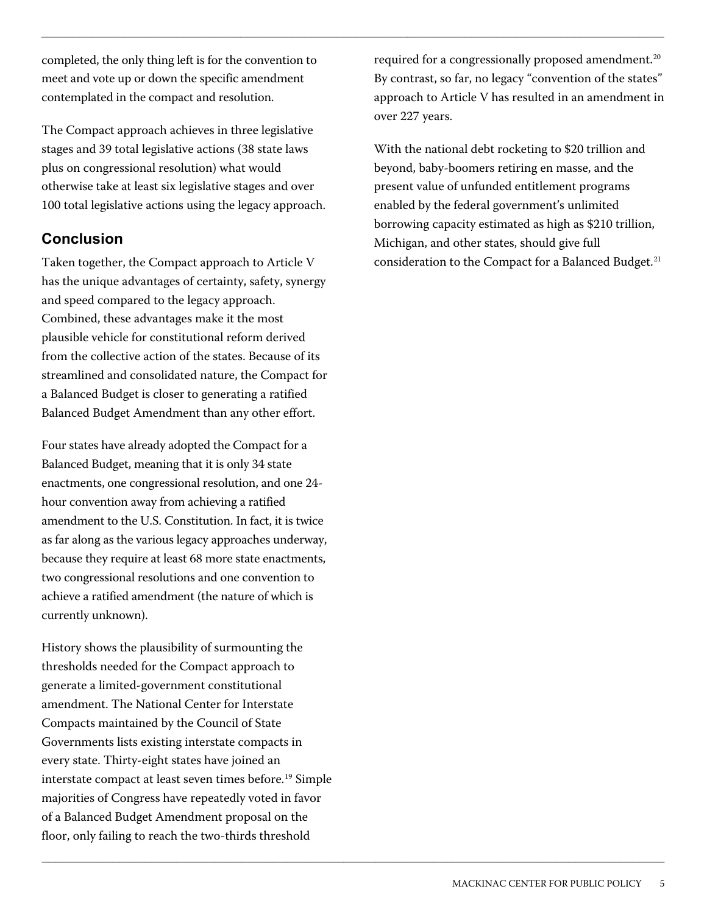completed, the only thing left is for the convention to meet and vote up or down the specific amendment contemplated in the compact and resolution.

The Compact approach achieves in three legislative stages and 39 total legislative actions (38 state laws plus on congressional resolution) what would otherwise take at least six legislative stages and over 100 total legislative actions using the legacy approach.

#### **Conclusion**

Taken together, the Compact approach to Article V has the unique advantages of certainty, safety, synergy and speed compared to the legacy approach. Combined, these advantages make it the most plausible vehicle for constitutional reform derived from the collective action of the states. Because of its streamlined and consolidated nature, the Compact for a Balanced Budget is closer to generating a ratified Balanced Budget Amendment than any other effort.

Four states have already adopted the Compact for a Balanced Budget, meaning that it is only 34 state enactments, one congressional resolution, and one 24 hour convention away from achieving a ratified amendment to the U.S. Constitution. In fact, it is twice as far along as the various legacy approaches underway, because they require at least 68 more state enactments, two congressional resolutions and one convention to achieve a ratified amendment (the nature of which is currently unknown).

History shows the plausibility of surmounting the thresholds needed for the Compact approach to generate a limited-government constitutional amendment. The National Center for Interstate Compacts maintained by the Council of State Governments lists existing interstate compacts in every state. Thirty-eight states have joined an interstate compact at least seven times before.<sup>[19](#page-13-8)</sup> Simple majorities of Congress have repeatedly voted in favor of a Balanced Budget Amendment proposal on the floor, only failing to reach the two-thirds threshold

required for a congressionally proposed amendment.<sup>[20](#page-13-9)</sup> By contrast, so far, no legacy "convention of the states" approach to Article V has resulted in an amendment in over 227 years.

 $\Box$ 

 $\_$  ,  $\_$  ,  $\_$  ,  $\_$  ,  $\_$  ,  $\_$  ,  $\_$  ,  $\_$  ,  $\_$  ,  $\_$  ,  $\_$  ,  $\_$  ,  $\_$  ,  $\_$  ,  $\_$  ,  $\_$  ,  $\_$  ,  $\_$  ,  $\_$  ,  $\_$  ,  $\_$  ,  $\_$  ,  $\_$  ,  $\_$  ,  $\_$  ,  $\_$  ,  $\_$  ,  $\_$  ,  $\_$  ,  $\_$  ,  $\_$  ,  $\_$  ,  $\_$  ,  $\_$  ,  $\_$  ,  $\_$  ,  $\_$  ,

With the national debt rocketing to \$20 trillion and beyond, baby-boomers retiring en masse, and the present value of unfunded entitlement programs enabled by the federal government's unlimited borrowing capacity estimated as high as \$210 trillion, Michigan, and other states, should give full consideration to the Compact for a Balanced Budget.<sup>[21](#page-13-10)</sup>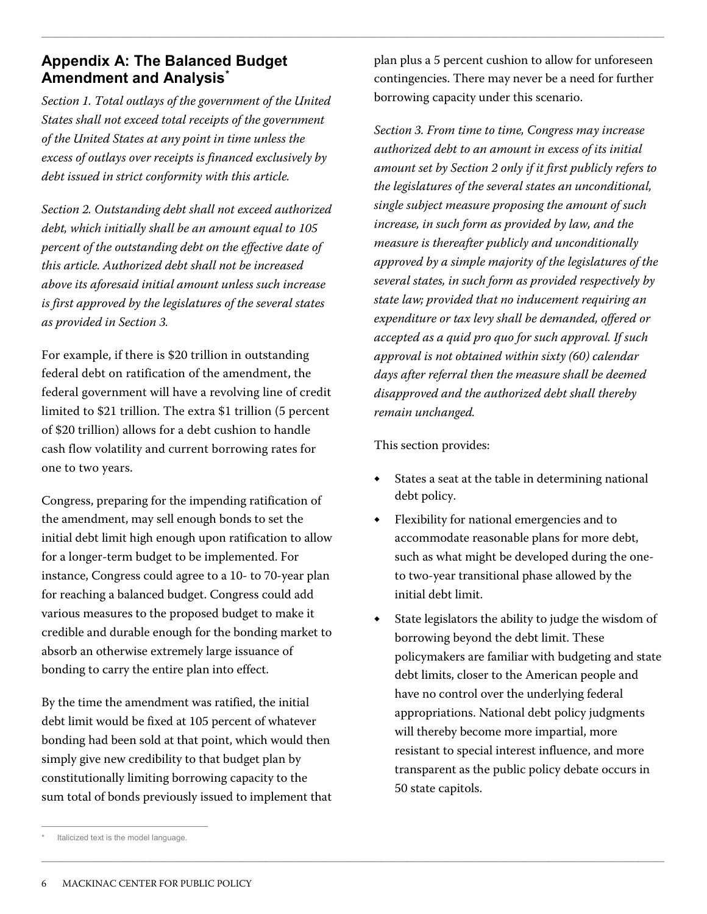#### **Appendix A: The Balanced Budget Amendment and Analysis[\\*](#page-5-0)**

*Section 1. Total outlays of the government of the United States shall not exceed total receipts of the government of the United States at any point in time unless the excess of outlays over receipts is financed exclusively by debt issued in strict conformity with this article.*

*Section 2. Outstanding debt shall not exceed authorized debt, which initially shall be an amount equal to 105 percent of the outstanding debt on the effective date of this article. Authorized debt shall not be increased above its aforesaid initial amount unless such increase is first approved by the legislatures of the several states as provided in Section 3.*

For example, if there is \$20 trillion in outstanding federal debt on ratification of the amendment, the federal government will have a revolving line of credit limited to \$21 trillion. The extra \$1 trillion (5 percent of \$20 trillion) allows for a debt cushion to handle cash flow volatility and current borrowing rates for one to two years.

Congress, preparing for the impending ratification of the amendment, may sell enough bonds to set the initial debt limit high enough upon ratification to allow for a longer-term budget to be implemented. For instance, Congress could agree to a 10- to 70-year plan for reaching a balanced budget. Congress could add various measures to the proposed budget to make it credible and durable enough for the bonding market to absorb an otherwise extremely large issuance of bonding to carry the entire plan into effect.

By the time the amendment was ratified, the initial debt limit would be fixed at 105 percent of whatever bonding had been sold at that point, which would then simply give new credibility to that budget plan by constitutionally limiting borrowing capacity to the sum total of bonds previously issued to implement that plan plus a 5 percent cushion to allow for unforeseen contingencies. There may never be a need for further borrowing capacity under this scenario.

*Section 3. From time to time, Congress may increase authorized debt to an amount in excess of its initial amount set by Section 2 only if it first publicly refers to the legislatures of the several states an unconditional, single subject measure proposing the amount of such increase, in such form as provided by law, and the measure is thereafter publicly and unconditionally approved by a simple majority of the legislatures of the several states, in such form as provided respectively by state law; provided that no inducement requiring an expenditure or tax levy shall be demanded, offered or accepted as a quid pro quo for such approval. If such approval is not obtained within sixty (60) calendar days after referral then the measure shall be deemed disapproved and the authorized debt shall thereby remain unchanged.*

This section provides:

 $\Box$ 

 $\Box$ 

- States a seat at the table in determining national debt policy.
- ◆ Flexibility for national emergencies and to accommodate reasonable plans for more debt, such as what might be developed during the oneto two-year transitional phase allowed by the initial debt limit.
- State legislators the ability to judge the wisdom of borrowing beyond the debt limit. These policymakers are familiar with budgeting and state debt limits, closer to the American people and have no control over the underlying federal appropriations. National debt policy judgments will thereby become more impartial, more resistant to special interest influence, and more transparent as the public policy debate occurs in 50 state capitols.

<span id="page-5-0"></span> $\overline{a}$ Italicized text is the model language.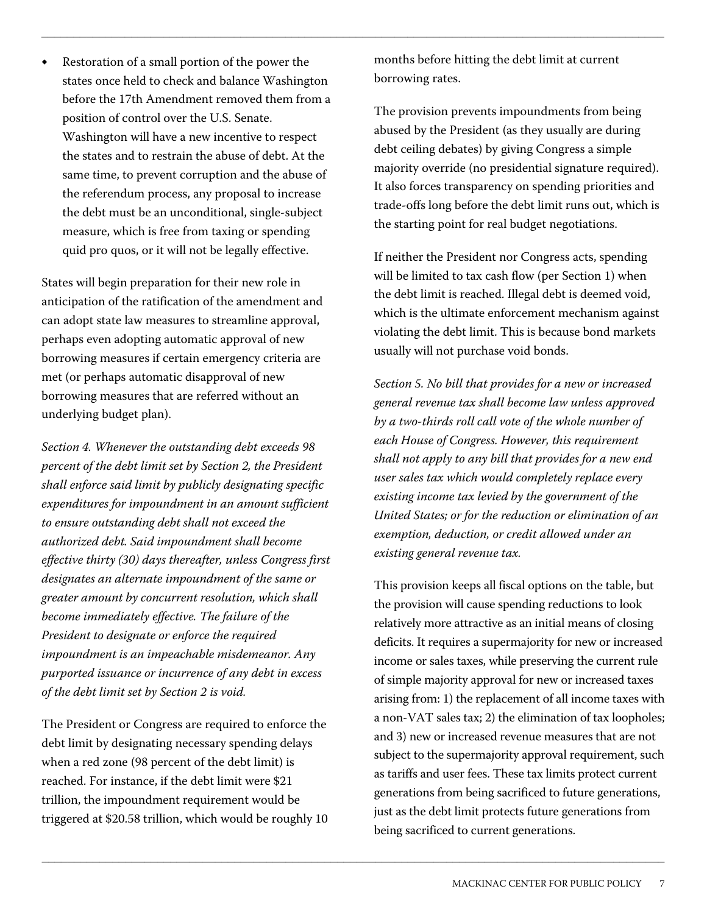Restoration of a small portion of the power the states once held to check and balance Washington before the 17th Amendment removed them from a position of control over the U.S. Senate. Washington will have a new incentive to respect the states and to restrain the abuse of debt. At the same time, to prevent corruption and the abuse of the referendum process, any proposal to increase the debt must be an unconditional, single-subject measure, which is free from taxing or spending quid pro quos, or it will not be legally effective.

States will begin preparation for their new role in anticipation of the ratification of the amendment and can adopt state law measures to streamline approval, perhaps even adopting automatic approval of new borrowing measures if certain emergency criteria are met (or perhaps automatic disapproval of new borrowing measures that are referred without an underlying budget plan).

*Section 4. Whenever the outstanding debt exceeds 98 percent of the debt limit set by Section 2, the President shall enforce said limit by publicly designating specific expenditures for impoundment in an amount sufficient to ensure outstanding debt shall not exceed the authorized debt. Said impoundment shall become effective thirty (30) days thereafter, unless Congress first designates an alternate impoundment of the same or greater amount by concurrent resolution, which shall become immediately effective. The failure of the President to designate or enforce the required impoundment is an impeachable misdemeanor. Any purported issuance or incurrence of any debt in excess of the debt limit set by Section 2 is void.*

The President or Congress are required to enforce the debt limit by designating necessary spending delays when a red zone (98 percent of the debt limit) is reached. For instance, if the debt limit were \$21 trillion, the impoundment requirement would be triggered at \$20.58 trillion, which would be roughly 10 months before hitting the debt limit at current borrowing rates.

 $\Box$ 

 $\_$  ,  $\_$  ,  $\_$  ,  $\_$  ,  $\_$  ,  $\_$  ,  $\_$  ,  $\_$  ,  $\_$  ,  $\_$  ,  $\_$  ,  $\_$  ,  $\_$  ,  $\_$  ,  $\_$  ,  $\_$  ,  $\_$  ,  $\_$  ,  $\_$  ,  $\_$  ,  $\_$  ,  $\_$  ,  $\_$  ,  $\_$  ,  $\_$  ,  $\_$  ,  $\_$  ,  $\_$  ,  $\_$  ,  $\_$  ,  $\_$  ,  $\_$  ,  $\_$  ,  $\_$  ,  $\_$  ,  $\_$  ,  $\_$  ,

The provision prevents impoundments from being abused by the President (as they usually are during debt ceiling debates) by giving Congress a simple majority override (no presidential signature required). It also forces transparency on spending priorities and trade-offs long before the debt limit runs out, which is the starting point for real budget negotiations.

If neither the President nor Congress acts, spending will be limited to tax cash flow (per Section 1) when the debt limit is reached. Illegal debt is deemed void, which is the ultimate enforcement mechanism against violating the debt limit. This is because bond markets usually will not purchase void bonds.

*Section 5. No bill that provides for a new or increased general revenue tax shall become law unless approved by a two-thirds roll call vote of the whole number of each House of Congress. However, this requirement shall not apply to any bill that provides for a new end user sales tax which would completely replace every existing income tax levied by the government of the United States; or for the reduction or elimination of an exemption, deduction, or credit allowed under an existing general revenue tax.*

This provision keeps all fiscal options on the table, but the provision will cause spending reductions to look relatively more attractive as an initial means of closing deficits. It requires a supermajority for new or increased income or sales taxes, while preserving the current rule of simple majority approval for new or increased taxes arising from: 1) the replacement of all income taxes with a non-VAT sales tax; 2) the elimination of tax loopholes; and 3) new or increased revenue measures that are not subject to the supermajority approval requirement, such as tariffs and user fees. These tax limits protect current generations from being sacrificed to future generations, just as the debt limit protects future generations from being sacrificed to current generations.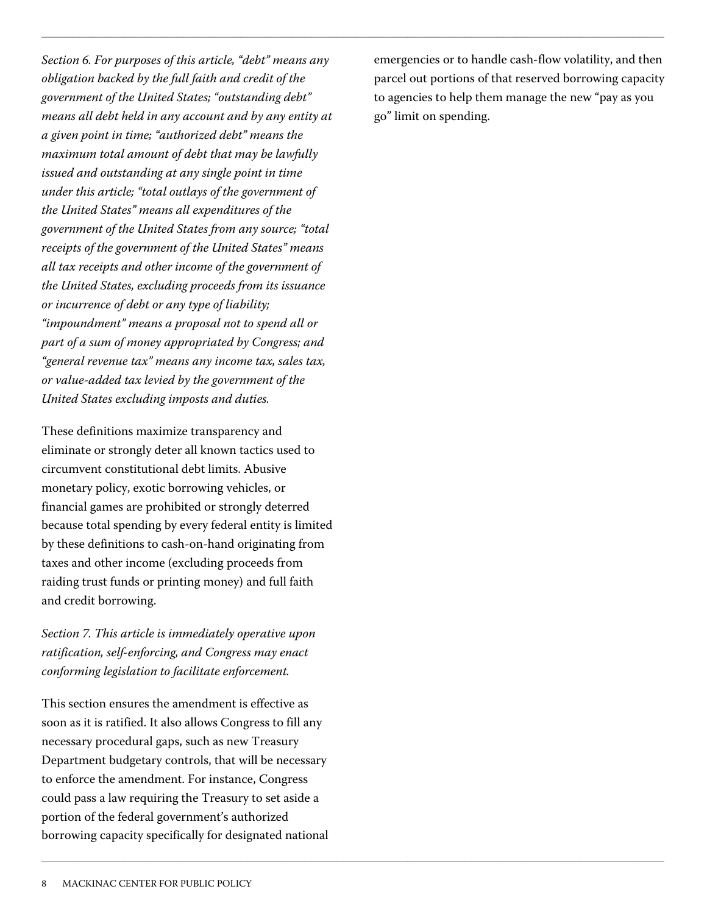*Section 6. For purposes of this article, "debt" means any obligation backed by the full faith and credit of the government of the United States; "outstanding debt" means all debt held in any account and by any entity at a given point in time; "authorized debt" means the maximum total amount of debt that may be lawfully issued and outstanding at any single point in time under this article; "total outlays of the government of the United States" means all expenditures of the government of the United States from any source; "total receipts of the government of the United States" means all tax receipts and other income of the government of the United States, excluding proceeds from its issuance or incurrence of debt or any type of liability; "impoundment" means a proposal not to spend all or part of a sum of money appropriated by Congress; and "general revenue tax" means any income tax, sales tax, or value-added tax levied by the government of the United States excluding imposts and duties.*

These definitions maximize transparency and eliminate or strongly deter all known tactics used to circumvent constitutional debt limits. Abusive monetary policy, exotic borrowing vehicles, or financial games are prohibited or strongly deterred because total spending by every federal entity is limited by these definitions to cash-on-hand originating from taxes and other income (excluding proceeds from raiding trust funds or printing money) and full faith and credit borrowing.

*Section 7. This article is immediately operative upon ratification, self-enforcing, and Congress may enact conforming legislation to facilitate enforcement.*

This section ensures the amendment is effective as soon as it is ratified. It also allows Congress to fill any necessary procedural gaps, such as new Treasury Department budgetary controls, that will be necessary to enforce the amendment. For instance, Congress could pass a law requiring the Treasury to set aside a portion of the federal government's authorized borrowing capacity specifically for designated national emergencies or to handle cash-flow volatility, and then parcel out portions of that reserved borrowing capacity to agencies to help them manage the new "pay as you go" limit on spending.

 $\Box$ 

 $\Box$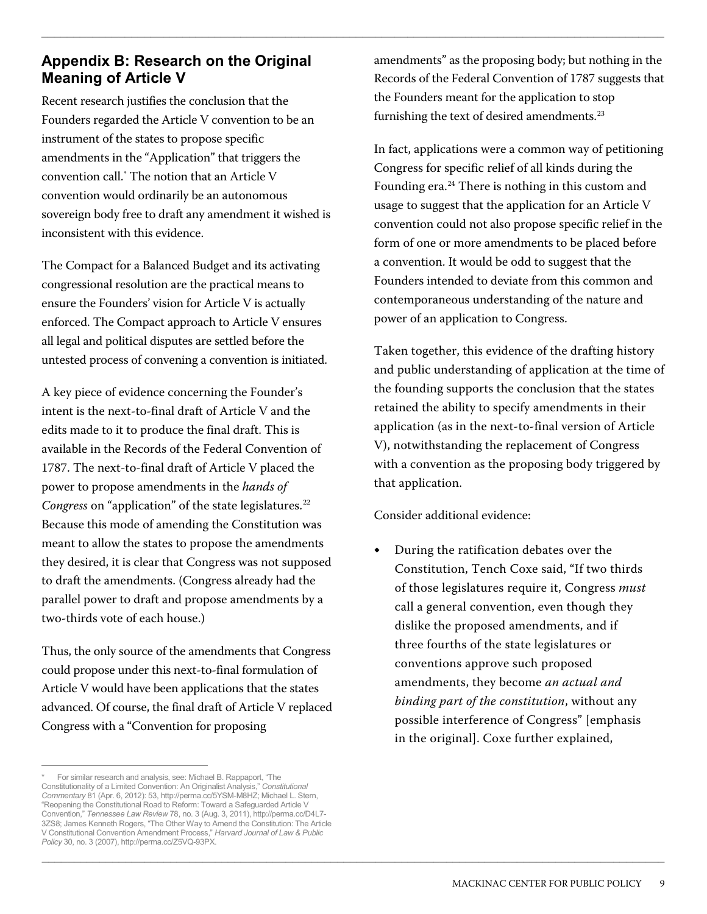### **Appendix B: Research on the Original Meaning of Article V**

Recent research justifies the conclusion that the Founders regarded the Article V convention to be an instrument of the states to propose specific amendments in the "Application" that triggers the convention call[.\\*](#page-8-0) The notion that an Article V convention would ordinarily be an autonomous sovereign body free to draft any amendment it wished is inconsistent with this evidence.

The Compact for a Balanced Budget and its activating congressional resolution are the practical means to ensure the Founders' vision for Article V is actually enforced. The Compact approach to Article V ensures all legal and political disputes are settled before the untested process of convening a convention is initiated.

A key piece of evidence concerning the Founder's intent is the next-to-final draft of Article V and the edits made to it to produce the final draft. This is available in the Records of the Federal Convention of 1787. The next-to-final draft of Article V placed the power to propose amendments in the *hands of Congress* on "application" of the state legislatures.<sup>[22](#page-13-11)</sup> Because this mode of amending the Constitution was meant to allow the states to propose the amendments they desired, it is clear that Congress was not supposed to draft the amendments. (Congress already had the parallel power to draft and propose amendments by a two-thirds vote of each house.)

Thus, the only source of the amendments that Congress could propose under this next-to-final formulation of Article V would have been applications that the states advanced. Of course, the final draft of Article V replaced Congress with a "Convention for proposing

amendments" as the proposing body; but nothing in the Records of the Federal Convention of 1787 suggests that the Founders meant for the application to stop furnishing the text of desired amendments.<sup>[23](#page-13-12)</sup>

 $\Box$ 

 $\_$  ,  $\_$  ,  $\_$  ,  $\_$  ,  $\_$  ,  $\_$  ,  $\_$  ,  $\_$  ,  $\_$  ,  $\_$  ,  $\_$  ,  $\_$  ,  $\_$  ,  $\_$  ,  $\_$  ,  $\_$  ,  $\_$  ,  $\_$  ,  $\_$  ,  $\_$  ,  $\_$  ,  $\_$  ,  $\_$  ,  $\_$  ,  $\_$  ,  $\_$  ,  $\_$  ,  $\_$  ,  $\_$  ,  $\_$  ,  $\_$  ,  $\_$  ,  $\_$  ,  $\_$  ,  $\_$  ,  $\_$  ,  $\_$  ,

In fact, applications were a common way of petitioning Congress for specific relief of all kinds during the Founding era.<sup>[24](#page-13-13)</sup> There is nothing in this custom and usage to suggest that the application for an Article V convention could not also propose specific relief in the form of one or more amendments to be placed before a convention. It would be odd to suggest that the Founders intended to deviate from this common and contemporaneous understanding of the nature and power of an application to Congress.

Taken together, this evidence of the drafting history and public understanding of application at the time of the founding supports the conclusion that the states retained the ability to specify amendments in their application (as in the next-to-final version of Article V), notwithstanding the replacement of Congress with a convention as the proposing body triggered by that application.

Consider additional evidence:

**◆** During the ratification debates over the Constitution, Tench Coxe said, "If two thirds of those legislatures require it, Congress *must* call a general convention, even though they dislike the proposed amendments, and if three fourths of the state legislatures or conventions approve such proposed amendments, they become *an actual and binding part of the constitution*, without any possible interference of Congress" [emphasis in the original]. Coxe further explained,

<span id="page-8-0"></span> $\overline{a}$ \* For similar research and analysis, see: Michael B. Rappaport, "The Constitutionality of a Limited Convention: An Originalist Analysis," *Constitutional Commentary* 81 (Apr. 6, 2012): 53, http://perma.cc/5YSM-M8HZ; Michael L. Stern, "Reopening the Constitutional Road to Reform: Toward a Safeguarded Article V Convention," *Tennessee Law Review* 78, no. 3 (Aug. 3, 2011), http://perma.cc/D4L7- 3ZS8; James Kenneth Rogers, "The Other Way to Amend the Constitution: The Article V Constitutional Convention Amendment Process," *Harvard Journal of Law & Public Policy* 30, no. 3 (2007), http://perma.cc/Z5VQ-93PX.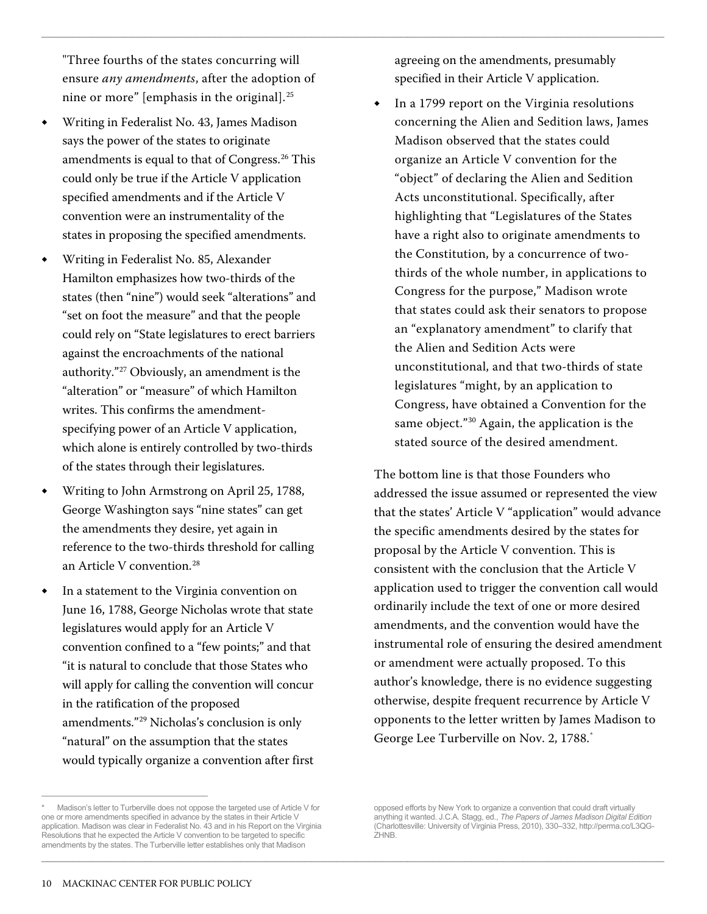"Three fourths of the states concurring will ensure *any amendments*, after the adoption of nine or more" [emphasis in the original]. $^{25}$  $^{25}$  $^{25}$ 

- **◆** Writing in Federalist No. 43, James Madison says the power of the states to originate amendments is equal to that of Congress.<sup>[26](#page-13-15)</sup> This could only be true if the Article V application specified amendments and if the Article V convention were an instrumentality of the states in proposing the specified amendments.
- **◆** Writing in Federalist No. 85, Alexander Hamilton emphasizes how two-thirds of the states (then "nine") would seek "alterations" and "set on foot the measure" and that the people could rely on "State legislatures to erect barriers against the encroachments of the national authority.["27](#page-13-16) Obviously, an amendment is the "alteration" or "measure" of which Hamilton writes. This confirms the amendmentspecifying power of an Article V application, which alone is entirely controlled by two-thirds of the states through their legislatures.
- **◆** Writing to John Armstrong on April 25, 1788, George Washington says "nine states" can get the amendments they desire, yet again in reference to the two-thirds threshold for calling an Article V convention.<sup>[28](#page-13-17)</sup>
- **◆** In a statement to the Virginia convention on June 16, 1788, George Nicholas wrote that state legislatures would apply for an Article V convention confined to a "few points;" and that "it is natural to conclude that those States who will apply for calling the convention will concur in the ratification of the proposed amendments."[29](#page-13-18) Nicholas's conclusion is only "natural" on the assumption that the states would typically organize a convention after first

agreeing on the amendments, presumably specified in their Article V application.

 $\Box$ 

 $\Box$ 

**◆** In a 1799 report on the Virginia resolutions concerning the Alien and Sedition laws, James Madison observed that the states could organize an Article V convention for the "object" of declaring the Alien and Sedition Acts unconstitutional. Specifically, after highlighting that "Legislatures of the States have a right also to originate amendments to the Constitution, by a concurrence of twothirds of the whole number, in applications to Congress for the purpose," Madison wrote that states could ask their senators to propose an "explanatory amendment" to clarify that the Alien and Sedition Acts were unconstitutional, and that two-thirds of state legislatures "might, by an application to Congress, have obtained a Convention for the same object."[30](#page-13-19) Again, the application is the stated source of the desired amendment.

The bottom line is that those Founders who addressed the issue assumed or represented the view that the states' Article V "application" would advance the specific amendments desired by the states for proposal by the Article V convention. This is consistent with the conclusion that the Article V application used to trigger the convention call would ordinarily include the text of one or more desired amendments, and the convention would have the instrumental role of ensuring the desired amendment or amendment were actually proposed. To this author's knowledge, there is no evidence suggesting otherwise, despite frequent recurrence by Article V opponents to the letter written by James Madison to George Lee Turberville on Nov. 2, 1788.[\\*](#page-9-0)

<span id="page-9-0"></span> $\overline{a}$ Madison's letter to Turberville does not oppose the targeted use of Article V for one or more amendments specified in advance by the states in their Article V application. Madison was clear in Federalist No. 43 and in his Report on the Virginia Resolutions that he expected the Article V convention to be targeted to specific amendments by the states. The Turberville letter establishes only that Madison

opposed efforts by New York to organize a convention that could draft virtually anything it wanted. J.C.A. Stagg, ed., *The Papers of James Madison Digital Edition* (Charlottesville: University of Virginia Press, 2010), 330–332, http://perma.cc/L3QG-ZHNB.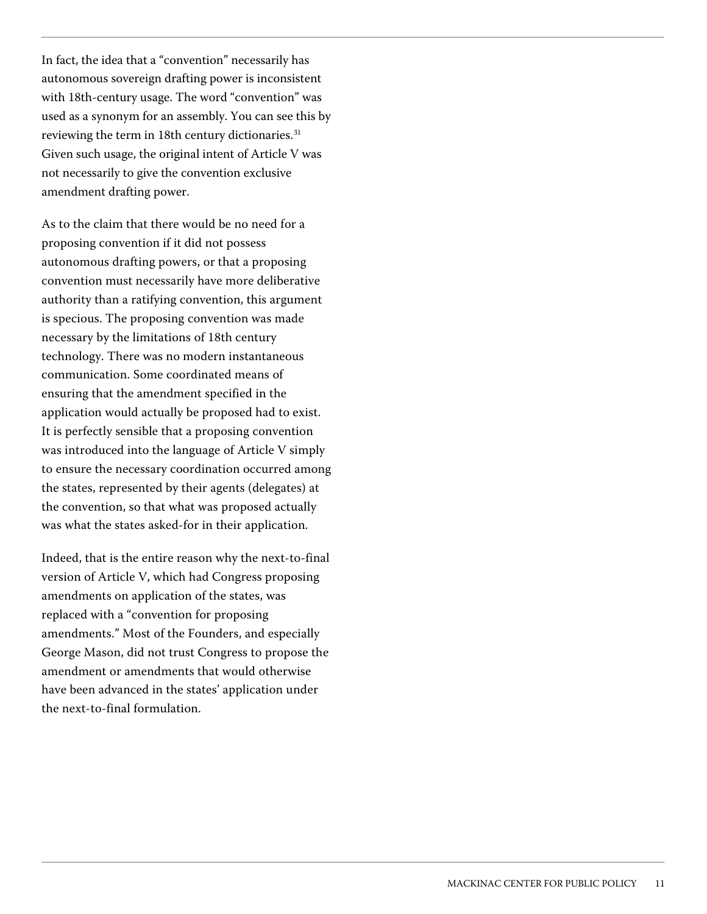In fact, the idea that a "convention" necessarily has autonomous sovereign drafting power is inconsistent with 18th-century usage. The word "convention" was used as a synonym for an assembly. You can see this by reviewing the term in 18th century dictionaries.<sup>31</sup> Given such usage, the original intent of Article V was not necessarily to give the convention exclusive amendment drafting power.

 $\Box$ 

 $\_$  ,  $\_$  ,  $\_$  ,  $\_$  ,  $\_$  ,  $\_$  ,  $\_$  ,  $\_$  ,  $\_$  ,  $\_$  ,  $\_$  ,  $\_$  ,  $\_$  ,  $\_$  ,  $\_$  ,  $\_$  ,  $\_$  ,  $\_$  ,  $\_$  ,  $\_$  ,  $\_$  ,  $\_$  ,  $\_$  ,  $\_$  ,  $\_$  ,  $\_$  ,  $\_$  ,  $\_$  ,  $\_$  ,  $\_$  ,  $\_$  ,  $\_$  ,  $\_$  ,  $\_$  ,  $\_$  ,  $\_$  ,  $\_$  ,

As to the claim that there would be no need for a proposing convention if it did not possess autonomous drafting powers, or that a proposing convention must necessarily have more deliberative authority than a ratifying convention, this argument is specious. The proposing convention was made necessary by the limitations of 18th century technology. There was no modern instantaneous communication. Some coordinated means of ensuring that the amendment specified in the application would actually be proposed had to exist. It is perfectly sensible that a proposing convention was introduced into the language of Article V simply to ensure the necessary coordination occurred among the states, represented by their agents (delegates) at the convention, so that what was proposed actually was what the states asked-for in their application.

Indeed, that is the entire reason why the next-to-final version of Article V, which had Congress proposing amendments on application of the states, was replaced with a "convention for proposing amendments." Most of the Founders, and especially George Mason, did not trust Congress to propose the amendment or amendments that would otherwise have been advanced in the states' application under the next-to-final formulation.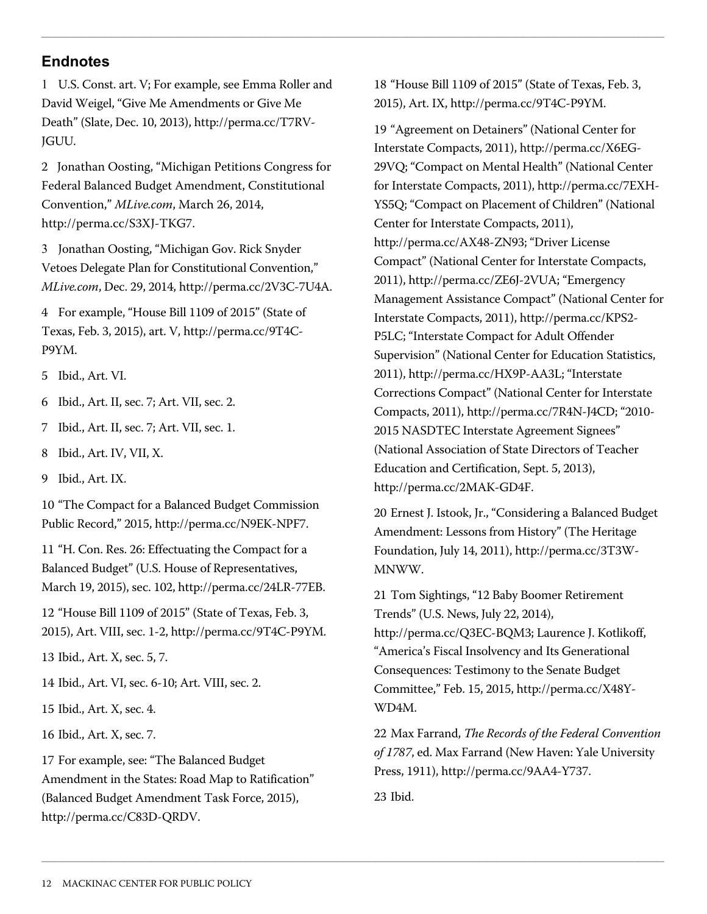## **Endnotes**

<span id="page-11-0"></span>1 U.S. Const. art. V; For example, see Emma Roller and David Weigel, "Give Me Amendments or Give Me Death" (Slate, Dec. 10, 2013), http://perma.cc/T7RV-JGUU.

<span id="page-11-1"></span>2 Jonathan Oosting, "Michigan Petitions Congress for Federal Balanced Budget Amendment, Constitutional Convention," *MLive.com*, March 26, 2014, http://perma.cc/S3XJ-TKG7.

<span id="page-11-2"></span>3 Jonathan Oosting, "Michigan Gov. Rick Snyder Vetoes Delegate Plan for Constitutional Convention," *MLive.com*, Dec. 29, 2014, http://perma.cc/2V3C-7U4A.

4 For example, "House Bill 1109 of 2015" (State of Texas, Feb. 3, 2015), art. V, http://perma.cc/9T4C-P9YM.

5 Ibid., Art. VI.

6 Ibid., Art. II, sec. 7; Art. VII, sec. 2.

- 7 Ibid., Art. II, sec. 7; Art. VII, sec. 1.
- 8 Ibid., Art. IV, VII, X.
- 9 Ibid., Art. IX.

10 "The Compact for a Balanced Budget Commission Public Record," 2015, http://perma.cc/N9EK-NPF7.

11 "H. Con. Res. 26: Effectuating the Compact for a Balanced Budget" (U.S. House of Representatives, March 19, 2015), sec. 102, http://perma.cc/24LR-77EB.

12 "House Bill 1109 of 2015" (State of Texas, Feb. 3, 2015), Art. VIII, sec. 1-2, http://perma.cc/9T4C-P9YM.

13 Ibid., Art. X, sec. 5, 7.

14 Ibid., Art. VI, sec. 6-10; Art. VIII, sec. 2.

15 Ibid., Art. X, sec. 4.

16 Ibid., Art. X, sec. 7.

17 For example, see: "The Balanced Budget Amendment in the States: Road Map to Ratification" (Balanced Budget Amendment Task Force, 2015), http://perma.cc/C83D-QRDV.

18 "House Bill 1109 of 2015" (State of Texas, Feb. 3, 2015), Art. IX, http://perma.cc/9T4C-P9YM.

 $\Box$ 

19 "Agreement on Detainers" (National Center for Interstate Compacts, 2011), http://perma.cc/X6EG-29VQ; "Compact on Mental Health" (National Center for Interstate Compacts, 2011), http://perma.cc/7EXH-YS5Q; "Compact on Placement of Children" (National Center for Interstate Compacts, 2011), http://perma.cc/AX48-ZN93; "Driver License Compact" (National Center for Interstate Compacts, 2011), http://perma.cc/ZE6J-2VUA; "Emergency Management Assistance Compact" (National Center for Interstate Compacts, 2011), http://perma.cc/KPS2- P5LC; "Interstate Compact for Adult Offender Supervision" (National Center for Education Statistics, 2011), http://perma.cc/HX9P-AA3L; "Interstate Corrections Compact" (National Center for Interstate Compacts, 2011), http://perma.cc/7R4N-J4CD; "2010- 2015 NASDTEC Interstate Agreement Signees" (National Association of State Directors of Teacher Education and Certification, Sept. 5, 2013), http://perma.cc/2MAK-GD4F.

20 Ernest J. Istook, Jr., "Considering a Balanced Budget Amendment: Lessons from History" (The Heritage Foundation, July 14, 2011), http://perma.cc/3T3W-MNWW.

21 Tom Sightings, "12 Baby Boomer Retirement Trends" (U.S. News, July 22, 2014),

http://perma.cc/Q3EC-BQM3; Laurence J. Kotlikoff, "America's Fiscal Insolvency and Its Generational Consequences: Testimony to the Senate Budget Committee," Feb. 15, 2015, http://perma.cc/X48Y-WD4M.

22 Max Farrand, *The Records of the Federal Convention of 1787*, ed. Max Farrand (New Haven: Yale University Press, 1911), http://perma.cc/9AA4-Y737.

23 Ibid.

 $\Box$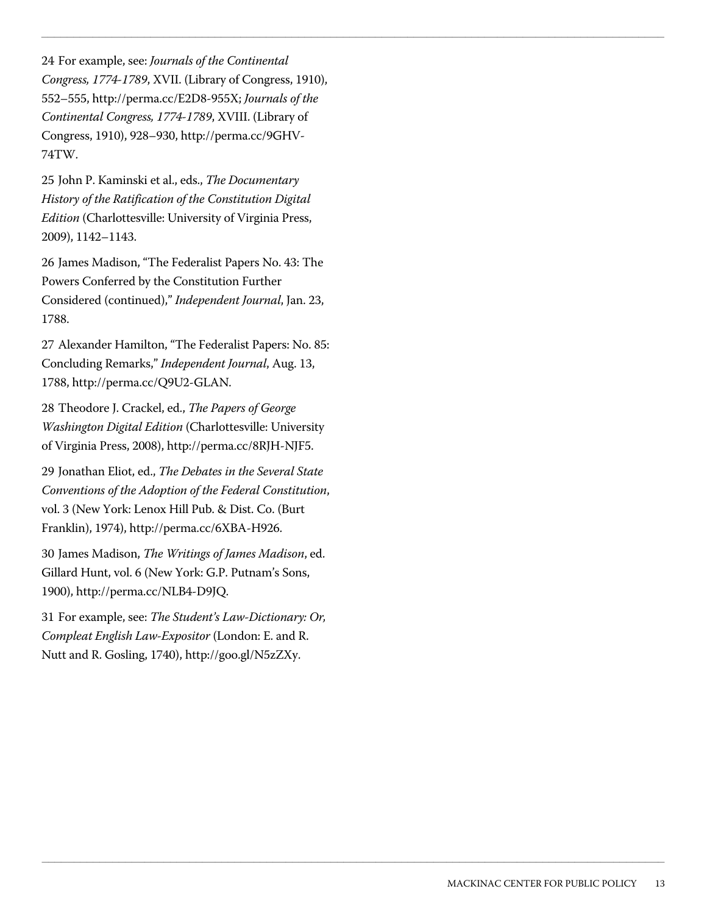24 For example, see: *Journals of the Continental Congress, 1774-1789*, XVII. (Library of Congress, 1910), 552–555, http://perma.cc/E2D8-955X; *Journals of the Continental Congress, 1774-1789*, XVIII. (Library of Congress, 1910), 928–930, http://perma.cc/9GHV-74TW.

 $\Box$ 

 $\_$  ,  $\_$  ,  $\_$  ,  $\_$  ,  $\_$  ,  $\_$  ,  $\_$  ,  $\_$  ,  $\_$  ,  $\_$  ,  $\_$  ,  $\_$  ,  $\_$  ,  $\_$  ,  $\_$  ,  $\_$  ,  $\_$  ,  $\_$  ,  $\_$  ,  $\_$  ,  $\_$  ,  $\_$  ,  $\_$  ,  $\_$  ,  $\_$  ,  $\_$  ,  $\_$  ,  $\_$  ,  $\_$  ,  $\_$  ,  $\_$  ,  $\_$  ,  $\_$  ,  $\_$  ,  $\_$  ,  $\_$  ,  $\_$  ,

25 John P. Kaminski et al., eds., *The Documentary History of the Ratification of the Constitution Digital Edition* (Charlottesville: University of Virginia Press, 2009), 1142–1143.

26 James Madison, "The Federalist Papers No. 43: The Powers Conferred by the Constitution Further Considered (continued)," *Independent Journal*, Jan. 23, 1788.

<span id="page-12-1"></span><span id="page-12-0"></span>27 Alexander Hamilton, "The Federalist Papers: No. 85: Concluding Remarks," *Independent Journal*, Aug. 13, 1788, http://perma.cc/Q9U2-GLAN.

<span id="page-12-3"></span><span id="page-12-2"></span>28 Theodore J. Crackel, ed., *The Papers of George Washington Digital Edition* (Charlottesville: University of Virginia Press, 2008), http://perma.cc/8RJH-NJF5.

<span id="page-12-6"></span><span id="page-12-5"></span><span id="page-12-4"></span>29 Jonathan Eliot, ed., *The Debates in the Several State Conventions of the Adoption of the Federal Constitution*, vol. 3 (New York: Lenox Hill Pub. & Dist. Co. (Burt Franklin), 1974), http://perma.cc/6XBA-H926.

30 James Madison, *The Writings of James Madison*, ed. Gillard Hunt, vol. 6 (New York: G.P. Putnam's Sons, 1900), http://perma.cc/NLB4-D9JQ.

31 For example, see: *The Student's Law-Dictionary: Or, Compleat English Law-Expositor* (London: E. and R. Nutt and R. Gosling, 1740), http://goo.gl/N5zZXy.